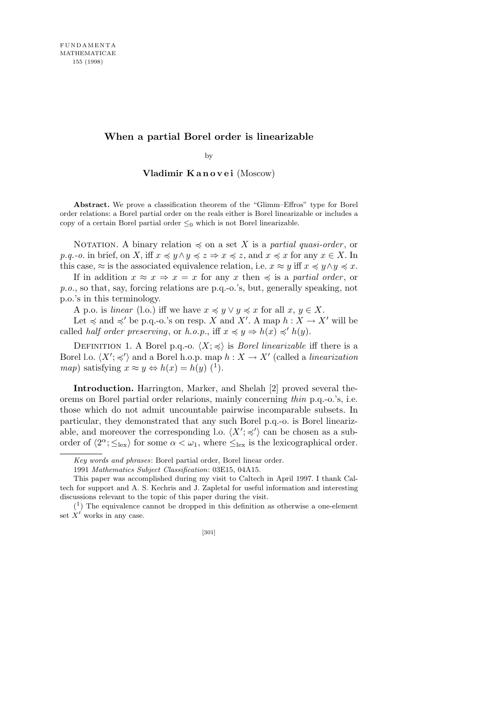## **When a partial Borel order is linearizable**

by

## **Vladimir K a n o v e i** (Moscow)

**Abstract.** We prove a classification theorem of the "Glimm–Effros" type for Borel order relations: a Borel partial order on the reals either is Borel linearizable or includes a copy of a certain Borel partial order *≤*<sup>0</sup> which is not Borel linearizable.

NOTATION. A binary relation  $\preccurlyeq$  on a set X is a *partial quasi-order*, or *p.q.-o.* in brief, on *X*, iff  $x \preccurlyeq y \land y \preccurlyeq z \Rightarrow x \preccurlyeq z$ , and  $x \preccurlyeq x$  for any  $x \in X$ . In this case,  $\approx$  is the associated equivalence relation, i.e.  $x \approx y$  iff  $x \preccurlyeq y \land y \preccurlyeq x$ .

If in addition  $x \approx x \Rightarrow x = x$  for any *x* then  $\preccurlyeq$  is a *partial order*, or *p.o.*, so that, say, forcing relations are p.q.-o.'s, but, generally speaking, not p.o.'s in this terminology.

A p.o. is *linear* (l.o.) iff we have  $x \preccurlyeq y \lor y \preccurlyeq x$  for all  $x, y \in X$ .

Let  $\preccurlyeq$  and  $\preccurlyeq'$  be p.q.-o.'s on resp. *X* and *X'*. A map  $h: X \to X'$  will be called *half order preserving*, or *h.o.p.*, iff  $x \preccurlyeq y \Rightarrow h(x) \preccurlyeq' h(y)$ .

DEFINITION 1. A Borel p.q.-o.  $\langle X; \preccurlyeq \rangle$  is *Borel linearizable* iff there is a Borel l.o.  $\langle X'; \preccurlyeq' \rangle$  and a Borel h.o.p. map  $h: X \to X'$  (called a *linearization map*) satisfying  $x \approx y \Leftrightarrow h(x) = h(y)$  (<sup>1</sup>).

**Introduction.** Harrington, Marker, and Shelah [2] proved several theorems on Borel partial order relarions, mainly concerning *thin* p.q.-o.'s, i.e. those which do not admit uncountable pairwise incomparable subsets. In particular, they demonstrated that any such Borel p.q.-o. is Borel linearizable, and moreover the corresponding l.o.  $\langle X'; \preccurlyeq' \rangle$  can be chosen as a suborder of  $\langle 2^{\alpha}; \leq_{\text{lex}} \rangle$  for some  $\alpha < \omega_1$ , where  $\leq_{\text{lex}}$  is the lexicographical order.

*Key words and phrases*: Borel partial order, Borel linear order.

<sup>1991</sup> *Mathematics Subject Classification*: 03E15, 04A15.

This paper was accomplished during my visit to Caltech in April 1997. I thank Caltech for support and A. S. Kechris and J. Zapletal for useful information and interesting discussions relevant to the topic of this paper during the visit.

 $(1)$  The equivalence cannot be dropped in this definition as otherwise a one-element set  $\hat{X}^{\prime}$  works in any case.

<sup>[301]</sup>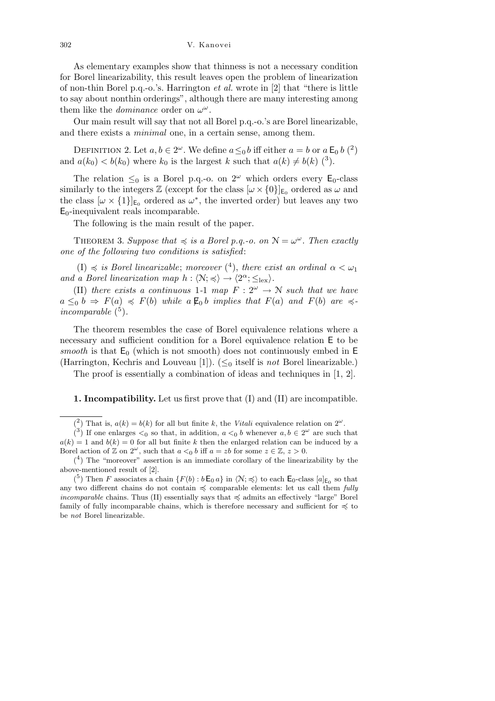302 V. Kanovei

As elementary examples show that thinness is not a necessary condition for Borel linearizability, this result leaves open the problem of linearization of non-thin Borel p.q.-o.'s. Harrington *et al.* wrote in [2] that "there is little to say about nonthin orderings", although there are many interesting among them like the *dominance* order on  $\omega^{\omega}$ .

Our main result will say that not all Borel p.q.-o.'s are Borel linearizable, and there exists a *minimal* one, in a certain sense, among them.

DEFINITION 2. Let  $a, b \in 2^{\omega}$ . We define  $a \leq_0 b$  iff either  $a = b$  or  $a \mathsf{E}_0 b$  (<sup>2</sup>) and  $a(k_0) < b(k_0)$  where  $k_0$  is the largest  $k$  such that  $a(k) \neq b(k)$  (<sup>3</sup>).

The relation  $\leq_0$  is a Borel p.q.-o. on  $2^{\omega}$  which orders every E<sub>0</sub>-class similarly to the integers  $\mathbb{Z}$  (except for the class  $[\omega \times \{0\}]_{\mathsf{E}_0}$  ordered as  $\omega$  and the class  $[\omega \times \{1\}]_{E_0}$  ordered as  $\omega^*$ , the inverted order) but leaves any two  $E_0$ -inequivalent reals incomparable.

The following is the main result of the paper.

THEOREM 3. *Suppose that*  $\preccurlyeq$  *is a Borel p.q.-o. on*  $\mathcal{N} = \omega^\omega$ . *Then exactly one of the following two conditions is satisfied*:

 $(I) \preccurlyeq$  *is Borel linearizable*; *moreover*  $(4)$ *, there exist an ordinal*  $\alpha < \omega_1$ *and a Borel linearization map*  $h : \langle \mathcal{N}; \preccurlyeq \rangle \rightarrow \langle 2^{\alpha}; \leq_{\text{lex}} \rangle$ .

(II) *there exists a continuous* 1-1 *map*  $F: 2^{\omega} \rightarrow \mathbb{N}$  *such that we have*  $a \leq_0 b \Rightarrow F(a) \preccurlyeq F(b)$  *while*  $a \not\in b$  *implies that*  $F(a)$  *and*  $F(b)$  *are*  $\preccurlyeq$  $incompareable<sup>5</sup>$ ).

The theorem resembles the case of Borel equivalence relations where a necessary and sufficient condition for a Borel equivalence relation E to be *smooth* is that  $E_0$  (which is not smooth) does not continuously embed in  $E$ (Harrington, Kechris and Louveau [1]). (*≤*<sup>0</sup> itself is *not* Borel linearizable.)

The proof is essentially a combination of ideas and techniques in [1, 2].

## **1. Incompatibility.** Let us first prove that (I) and (II) are incompatible.

<sup>(&</sup>lt;sup>2</sup>) That is,  $a(k) = b(k)$  for all but finite *k*, the *Vitali* equivalence relation on  $2^{\omega}$ .

 $(3)$  If one enlarges  $\lt_0$  so that, in addition,  $a \lt_0 b$  whenever  $a, b \in 2^\omega$  are such that  $a(k) = 1$  and  $b(k) = 0$  for all but finite *k* then the enlarged relation can be induced by a Borel action of  $\mathbb{Z}$  on  $2^{\omega}$ , such that  $a <_0 b$  iff  $a = zb$  for some  $z \in \mathbb{Z}, z > 0$ .

 $(4)$  The "moreover" assertion is an immediate corollary of the linearizability by the above-mentioned result of [2].

<sup>(&</sup>lt;sup>5</sup>) Then *F* associates a chain  $\{F(b): b \to a\}$  in  $\langle N; \preccurlyeq \rangle$  to each  $\mathsf{E}_0$ -class  $[a]_{\mathsf{E}_0}$  so that any two different chains do not contain  $\preccurlyeq$  comparable elements: let us call them *fully incomparable* chains. Thus (II) essentially says that  $\preccurlyeq$  admits an effectively "large" Borel family of fully incomparable chains, which is therefore necessary and sufficient for  $\preccurlyeq$  to be *not* Borel linearizable.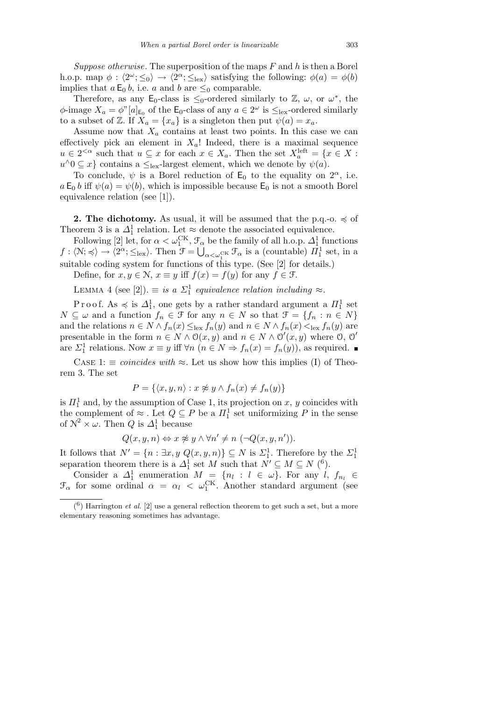*Suppose otherwise*. The superposition of the maps *F* and *h* is then a Borel h.o.p. map  $\phi : \langle 2^{\omega}; \leq_0 \rangle \rightarrow \langle 2^{\alpha}; \leq_{\text{lex}} \rangle$  satisfying the following:  $\phi(a) = \phi(b)$ implies that  $a \mathsf{E}_0 b$ , i.e.  $a$  and  $b$  are  $\leq_0$  comparable.

Therefore, as any  $E_0$ -class is  $\leq_0$ -ordered similarly to  $\mathbb{Z}, \omega$ , or  $\omega^*$ , the  $\phi$ -image  $X_a = \phi$ <sup>"</sup>[ $a$ ]<sub>E<sub>0</sub></sub> of the E<sub>0</sub>-class of any  $a \in 2^{\omega}$  is  $\leq_{\text{lex}}$ -ordered similarly to a subset of Z. If  $X_a = \{x_a\}$  is a singleton then put  $\psi(a) = x_a$ .

Assume now that  $X_a$  contains at least two points. In this case we can effectively pick an element in  $X_a$ ! Indeed, there is a maximal sequence  $u \in 2^{<\alpha}$  such that  $u \subseteq x$  for each  $x \in X_a$ . Then the set  $X_a^{\text{left}} = \{x \in X : a(x) \in X_a\}$  $u^{\wedge}0 \subseteq x$ } contains a  $\leq_{\text{lex}}$ -largest element, which we denote by  $\psi(a)$ .

To conclude,  $\psi$  is a Borel reduction of  $\mathsf{E}_0$  to the equality on  $2^{\alpha}$ , i.e.  $a \mathsf{E}_0 b$  iff  $\psi(a) = \psi(b)$ , which is impossible because  $\mathsf{E}_0$  is not a smooth Borel equivalence relation (see [1]).

**2. The dichotomy.** As usual, it will be assumed that the p.q.-o.  $\preccurlyeq$  of Theorem 3 is a  $\Delta_1^1$  relation. Let  $\approx$  denote the associated equivalence.

Following [2] let, for  $\alpha < \omega_1^{\text{CK}}, \mathcal{F}_\alpha$  be the family of all h.o.p.  $\Delta_1^1$  functions  $f: \langle \mathcal{N}; \preccurlyeq \rangle \to \langle 2^{\alpha}; \leq_{\text{lex}} \rangle$ . Then  $\mathcal{F} = \bigcup_{\alpha < \omega_1^{\text{CK}}} \mathcal{F}_{\alpha}$  is a (countable)  $\Pi_1^1$  set, in a suitable coding system for functions of this type. (See [2] for details.)

Define, for  $x, y \in \mathbb{N}$ ,  $x \equiv y$  iff  $f(x) = f(y)$  for any  $f \in \mathcal{F}$ .

LEMMA 4 (see [2]).  $\equiv$  *is a*  $\Sigma_1^1$  *equivalence relation including*  $\approx$ *.* 

P r o o f. As  $\preccurlyeq$  is  $\Delta_1^1$ , one gets by a rather standard argument a  $\Pi_1^1$  set  $N \subseteq \omega$  and a function  $f_n \in \mathcal{F}$  for any  $n \in N$  so that  $\mathcal{F} = \{f_n : n \in N\}$ and the relations  $n \in N \wedge f_n(x) \leq_{\text{lex}} f_n(y)$  and  $n \in N \wedge f_n(x) <_{\text{lex}} f_n(y)$  are presentable in the form  $n \in N \wedge \mathcal{O}(x, y)$  and  $n \in N \wedge \mathcal{O}'(x, y)$  where  $\mathcal{O}, \mathcal{O}'$ are  $\Sigma_1^1$  relations. Now  $x \equiv y$  iff  $\forall n \ (n \in N \Rightarrow f_n(x) = f_n(y))$ , as required.

CASE 1:  $\equiv$  *coincides with*  $\approx$ . Let us show how this implies (I) of Theorem 3. The set

$$
P = \{ \langle x, y, n \rangle : x \not\approx y \land f_n(x) \neq f_n(y) \}
$$

is  $\Pi_1^1$  and, by the assumption of Case 1, its projection on *x*, *y* coincides with the complement of  $\approx$  *.* Let  $Q \subseteq P$  be a  $\Pi_1^1$  set uniformizing P in the sense of  $\mathcal{N}^2 \times \omega$ . Then *Q* is  $\Delta_1^1$  because

$$
Q(x, y, n) \Leftrightarrow x \not\approx y \land \forall n' \neq n \ (\neg Q(x, y, n')).
$$

It follows that  $N' = \{n : \exists x, y \ Q(x, y, n)\} \subseteq N$  is  $\Sigma_1^1$ . Therefore by the  $\Sigma_1^1$ separation theorem there is a  $\Delta_1^1$  set *M* such that  $N' \subseteq M \subseteq N$  (<sup>6</sup>).

Consider a  $\Delta_1^1$  enumeration  $M = \{n_l : l \in \omega\}$ . For any  $l, f_{n_l} \in$  $\mathcal{F}_{\alpha}$  for some ordinal  $\alpha = \alpha_l < \omega_1^{\text{CK}}$ . Another standard argument (see

 $(6)$  Harrington *et al.* [2] use a general reflection theorem to get such a set, but a more elementary reasoning sometimes has advantage.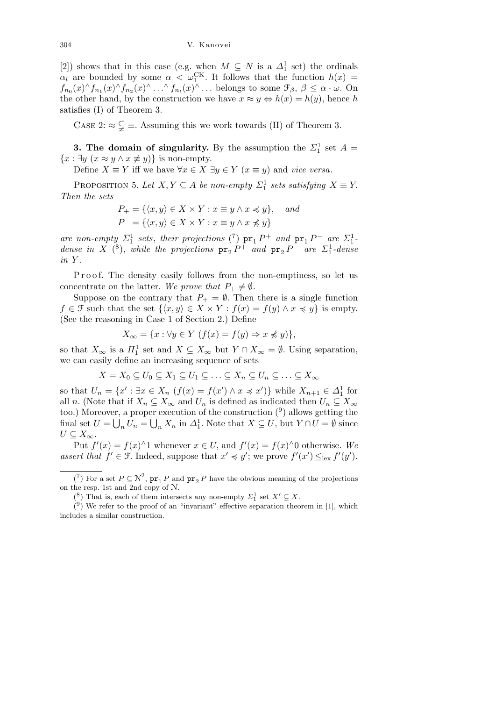[2]) shows that in this case (e.g. when  $M \subseteq N$  is a  $\Delta_1^1$  set) the ordinals *αl* are bounded by some  $\alpha < \omega_1^{\text{CK}}$ . It follows that the function  $h(x)$  =  $f_{n_0}(x) \wedge f_{n_1}(x) \wedge f_{n_2}(x) \wedge \ldots \wedge f_{n_l}(x) \wedge \ldots$  belongs to some  $\mathcal{F}_{\beta}, \beta \leq \alpha \cdot \omega$ . On the other hand, by the construction we have  $x \approx y \Leftrightarrow h(x) = h(y)$ , hence *h* satisfies (I) of Theorem 3.

CASE 2:  $\approx \frac{C}{\epsilon} \equiv$ . Assuming this we work towards (II) of Theorem 3.

**3. The domain of singularity.** By the assumption the  $\Sigma_1^1$  set  $A =$ *{x* ∶ *∃y* (*x* ≈ *y*  $\land$  *x*  $\neq$  *y*)*}* is non-empty.

Define  $X \equiv Y$  iff we have  $\forall x \in X \exists y \in Y \ (x \equiv y)$  and *vice versa*.

PROPOSITION 5. Let  $X, Y \subseteq A$  be non-empty  $\Sigma_1^1$  sets satisfying  $X \equiv Y$ . *Then the sets*

$$
P_{+} = \{ \langle x, y \rangle \in X \times Y : x \equiv y \land x \preccurlyeq y \}, \quad and
$$

$$
P_{-} = \{ \langle x, y \rangle \in X \times Y : x \equiv y \land x \npreccurlyeq y \}
$$

*are non-empty*  $\Sigma_1^1$  *sets*, *their projections* (<sup>7</sup>)  $pr_1 P^+$  *and*  $pr_1 P^-$  *are*  $\Sigma_1^1$ *dense in X* (<sup>8</sup>), *while the projections*  $pr_2 P^+$  *and*  $pr_2 P^-$  *are*  $\mathcal{L}_1^1$ -*dense in Y .*

Proof. The density easily follows from the non-emptiness, so let us concentrate on the latter. We prove that  $P_+ \neq \emptyset$ .

Suppose on the contrary that  $P_+ = \emptyset$ . Then there is a single function *f*  $\in$  *f* such that the set  $\{(x, y) \in X \times Y : f(x) = f(y) \land x \leq y\}$  is empty. (See the reasoning in Case 1 of Section 2.) Define

$$
X_{\infty} = \{x : \forall y \in Y \ (f(x) = f(y) \Rightarrow x \nless y)\},\
$$

so that  $X_{\infty}$  is a  $\Pi_1^1$  set and  $X \subseteq X_{\infty}$  but  $Y \cap X_{\infty} = \emptyset$ . Using separation, we can easily define an increasing sequence of sets

$$
X = X_0 \subseteq U_0 \subseteq X_1 \subseteq U_1 \subseteq \ldots \subseteq X_n \subseteq U_n \subseteq \ldots \subseteq X_{\infty}
$$

so that  $U_n = \{x' : \exists x \in X_n \ (f(x) = f(x') \land x \preccurlyeq x')\}$  while  $X_{n+1} \in \Delta_1^1$  for all *n*. (Note that if  $X_n \subseteq X_\infty$  and  $U_n$  is defined as indicated then  $U_n \subseteq X_\infty$ too.) Moreover, a proper execution of the construction  $\binom{9}{2}$  allows getting the final set  $U = \bigcup_n U_n = \bigcup_n X_n$  in  $\Delta_1^1$ . Note that  $X \subseteq U$ , but  $Y \cap U = \emptyset$  since *U* ⊆  $X_{\infty}$ .

Put  $f'(x) = f(x) \land 1$  whenever  $x \in U$ , and  $f'(x) = f(x) \land 0$  otherwise. We assert that  $f' \in \mathcal{F}$ . Indeed, suppose that  $x' \preccurlyeq y'$ ; we prove  $f'(x') \leq_{\text{lex}} f'(y')$ .

 $(7)$  For a set  $P \subseteq \mathcal{N}^2$ ,  $\mathbf{pr}_1 P$  and  $\mathbf{pr}_2 P$  have the obvious meaning of the projections on the resp. 1st and 2nd copy of N.

<sup>(&</sup>lt;sup>8</sup>) That is, each of them intersects any non-empty  $\Sigma_1^1$  set  $X' \subseteq X$ .

 $(9)$  We refer to the proof of an "invariant" effective separation theorem in [1], which includes a similar construction.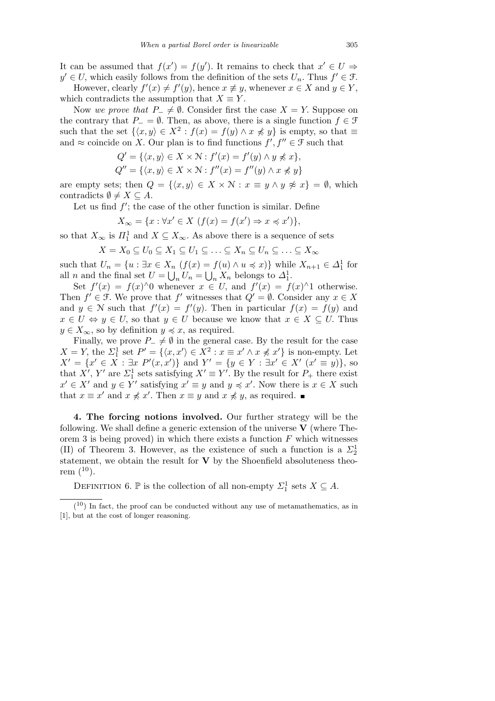It can be assumed that  $f(x') = f(y')$ . It remains to check that  $x' \in U \Rightarrow$  $y' \in U$ , which easily follows from the definition of the sets  $U_n$ . Thus  $f' \in \mathcal{F}$ .

However, clearly  $f'(x) \neq f'(y)$ , hence  $x \not\equiv y$ , whenever  $x \in X$  and  $y \in Y$ , which contradicts the assumption that  $X \equiv Y$ .

Now we prove that  $P_-\neq \emptyset$ . Consider first the case  $X=Y$ . Suppose on the contrary that  $P_$  =  $\emptyset$ . Then, as above, there is a single function  $f \in \mathcal{F}$ such that the set  $\{(x, y) \in X^2 : f(x) = f(y) \land x \not\preccurlyeq y\}$  is empty, so that  $\equiv$ and  $\approx$  coincide on *X*. Our plan is to find functions  $f', f'' \in \mathcal{F}$  such that

$$
Q' = \{ \langle x, y \rangle \in X \times \mathcal{N} : f'(x) = f'(y) \land y \nless x \},
$$
  
\n
$$
Q'' = \{ \langle x, y \rangle \in X \times \mathcal{N} : f''(x) = f''(y) \land x \nless y \}
$$

are empty sets; then  $Q = \{ \langle x, y \rangle \in X \times \mathbb{N} : x \equiv y \land y \not\approx x \} = \emptyset$ , which contradicts  $\emptyset \neq X \subseteq A$ .

Let us find  $f'$ ; the case of the other function is similar. Define

$$
X_{\infty} = \{x : \forall x' \in X \ (f(x) = f(x') \Rightarrow x \preccurlyeq x')\},\
$$

so that  $X_{\infty}$  is  $\Pi_1^1$  and  $X \subseteq X_{\infty}$ . As above there is a sequence of sets

$$
X = X_0 \subseteq U_0 \subseteq X_1 \subseteq U_1 \subseteq \ldots \subseteq X_n \subseteq U_n \subseteq \ldots \subseteq X_{\infty}
$$

such that  $U_n = \{u : \exists x \in X_n \ (f(x) = f(u) \land u \leq x)\}$  while  $X_{n+1} \in \Delta_1^1$  for all *n* and the final set  $U = \bigcup_n U_n = \bigcup_n X_n$  belongs to  $\Delta_1^1$ .

Set  $f'(x) = f(x) \land 0$  whenever  $x \in U$ , and  $f'(x) = f(x) \land 1$  otherwise. Then  $f' \in \mathcal{F}$ . We prove that  $f'$  witnesses that  $Q' = \emptyset$ . Consider any  $x \in X$ and  $y \in \mathbb{N}$  such that  $f'(x) = f'(y)$ . Then in particular  $f(x) = f(y)$  and  $x \in U \Leftrightarrow y \in U$ , so that  $y \in U$  because we know that  $x \in X \subseteq U$ . Thus  $y \in X_{\infty}$ , so by definition  $y \preccurlyeq x$ , as required.

Finally, we prove  $P_-\neq \emptyset$  in the general case. By the result for the case  $X = Y$ , the  $\Sigma_1^1$  set  $P' = \{ \langle x, x' \rangle \in X^2 : x \equiv x' \land x \not\preccurlyeq x' \}$  is non-empty. Let  $X' = \{x' \in X : \exists x \ P'(x,x')\}$  and  $Y' = \{y \in Y : \exists x' \in X' \ (x' \equiv y)\}\)$ , so that *X<sup>'</sup>*, *Y'* are *Σ*<sup>1</sup><sup>1</sup> sets satisfying *X'*  $\equiv$  *Y'*. By the result for *P*<sub>+</sub> there exist  $x' \in X'$  and  $y \in Y'$  satisfying  $x' \equiv y$  and  $y \preccurlyeq x'$ . Now there is  $x \in X$  such that  $x \equiv x'$  and  $x \not\preccurlyeq x'$ . Then  $x \equiv y$  and  $x \not\preccurlyeq y$ , as required.

**4. The forcing notions involved.** Our further strategy will be the following. We shall define a generic extension of the universe **V** (where Theorem 3 is being proved) in which there exists a function *F* which witnesses (II) of Theorem 3. However, as the existence of such a function is a  $\Sigma_2^1$ statement, we obtain the result for **V** by the Shoenfield absoluteness theorem  $(10)$ .

DEFINITION 6.  $\mathbb{P}$  is the collection of all non-empty  $\Sigma_1^1$  sets  $X \subseteq A$ .

 $(10)$  In fact, the proof can be conducted without any use of metamathematics, as in [1], but at the cost of longer reasoning.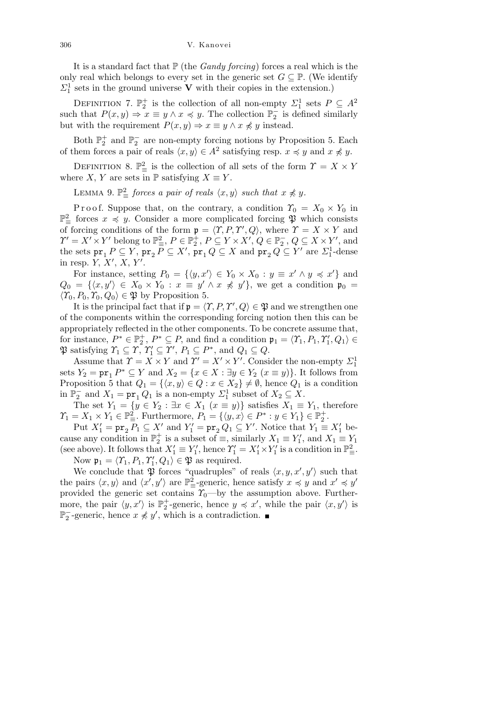It is a standard fact that  $P$  (the *Gandy forcing*) forces a real which is the only real which belongs to every set in the generic set  $G \subseteq \mathbb{P}$ . (We identify  $\Sigma^1_1$  sets in the ground universe **V** with their copies in the extension.)

DEFINITION 7.  $\mathbb{P}_2^+$  is the collection of all non-empty  $\Sigma_1^1$  sets  $P \subseteq A^2$ such that  $P(x, y) \Rightarrow x \equiv y \land x \preccurlyeq y$ . The collection  $\mathbb{P}_2^-$  is defined similarly but with the requirement  $P(x, y) \Rightarrow x \equiv y \land x \not\preccurlyeq y$  instead.

Both  $\mathbb{P}_{2}^{+}$  and  $\mathbb{P}_{2}^{-}$  are non-empty forcing notions by Proposition 5. Each of them forces a pair of reals  $\langle x, y \rangle \in A^2$  satisfying resp.  $x \preccurlyeq y$  and  $x \not\preccurlyeq y$ .

DEFINITION 8.  $\mathbb{P}^2_{\equiv}$  is the collection of all sets of the form  $\Upsilon = X \times Y$ where *X*, *Y* are sets in  $\mathbb{P}$  satisfying *X*  $\equiv$  *Y*.

LEMMA 9.  $\mathbb{P}^2_{\equiv}$  *forces a pair of reals*  $\langle x, y \rangle$  *such that*  $x \not\preccurlyeq y$ *.* 

Proof. Suppose that, on the contrary, a condition  $\Upsilon_0 = X_0 \times Y_0$  in P 2 *<sup>≡</sup>* forces *x* 4 *y.* Consider a more complicated forcing P which consists of forcing conditions of the form  $\mathbf{p} = \langle \mathcal{T}, P, \mathcal{T}', Q \rangle$ , where  $\mathcal{T} = X \times Y$  and  $\Upsilon' = X' \times Y'$  belong to  $\mathbb{P}^2_{\equiv}$ ,  $P \in \mathbb{P}^+_2$ ,  $P \subseteq Y \times X'$ ,  $Q \in \mathbb{P}^-_2$ ,  $Q \subseteq X \times Y'$ , and the sets  $pr_1 P \subseteq Y$ ,  $pr_2 P \subseteq X'$ ,  $pr_1 Q \subseteq X$  and  $pr_2 Q \subseteq Y'$  are  $\mathcal{Z}_1^1$ -dense in resp.  $Y, X', X, Y'$ .

For instance, setting  $P_0 = \{ \langle y, x' \rangle \in Y_0 \times X_0 : y \equiv x' \land y \preccurlyeq x' \}$  and  $Q_0 = \{ \langle x, y' \rangle \in X_0 \times Y_0 : x \equiv y' \land x \not\preccurlyeq y' \},$  we get a condition  $\mathfrak{p}_0 =$  $\langle T_0, P_0, T_0, Q_0 \rangle$  ∈ *φ* by Proposition 5.

It is the principal fact that if  $\mathfrak{p} = \langle \Upsilon, P, \Upsilon', Q \rangle \in \mathfrak{P}$  and we strengthen one of the components within the corresponding forcing notion then this can be appropriately reflected in the other components. To be concrete assume that, for instance,  $P^* \in \mathbb{P}_2^+$ ,  $P^* \subseteq P$ , and find a condition  $\mathfrak{p}_1 = \langle \mathcal{Y}_1, P_1, \mathcal{Y}'_1, Q_1 \rangle \in$  $\mathfrak{P}$  satisfying  $\Upsilon_1 \subseteq \Upsilon$ ,  $\Upsilon'_1 \subseteq \Upsilon'$ ,  $P_1 \subseteq P^*$ , and  $Q_1 \subseteq Q$ .

Assume that  $\Upsilon = X \times Y$  and  $\Upsilon' = X' \times Y'$ . Consider the non-empty  $\Sigma_1^1$ sets  $Y_2 = \text{pr}_1 P^* \subseteq Y$  and  $X_2 = \{x \in X : \exists y \in Y_2 \ (x \equiv y)\}\)$ . It follows from Proposition 5 that  $Q_1 = \{ \langle x, y \rangle \in Q : x \in X_2 \} \neq \emptyset$ , hence  $Q_1$  is a condition in  $\mathbb{P}_2^-$  and  $X_1 = \text{pr}_1 Q_1$  is a non-empty  $\mathcal{L}_1^1$  subset of  $X_2 \subseteq X$ .

The set  $Y_1 = \{y \in Y_2 : \exists x \in X_1 \ (x \equiv y)\}\$  satisfies  $X_1 \equiv Y_1$ , therefore  $\gamma_1 = X_1 \times Y_1 \in \mathbb{P}^2_{\equiv}$ . Furthermore,  $P_1 = \{ \langle y, x \rangle \in P^* : y \in Y_1 \} \in \mathbb{P}^+_2$ .

Put  $X'_1 = \text{pr}_2 P_1 \subseteq X'$  and  $Y'_1 = \text{pr}_2 Q_1 \subseteq Y'$ . Notice that  $Y_1 \equiv X'_1$  because any condition in  $\mathbb{P}_2^+$  is a subset of  $\equiv$ , similarly  $X_1 \equiv Y_1'$ , and  $X_1 \equiv Y_1$ (see above). It follows that  $X'_1 \equiv Y'_1$ , hence  $\Upsilon'_1 = X'_1 \times Y'_1$  is a condition in  $\mathbb{P}^2_{\equiv}$ . Now  $\mathfrak{p}_1 = \langle \mathcal{Y}_1, P_1, \mathcal{Y}'_1, Q_1 \rangle \in \mathfrak{P}$  as required.

We conclude that  $\mathfrak{P}$  forces "quadruples" of reals  $\langle x, y, x', y' \rangle$  such that the pairs  $\langle x, y \rangle$  and  $\langle x', y' \rangle$  are  $\mathbb{P}^2_{\equiv}$ -generic, hence satisfy  $x \preccurlyeq y$  and  $x' \preccurlyeq y'$ provided the generic set contains  $\gamma_0$ —by the assumption above. Furthermore, the pair  $\langle y, x' \rangle$  is  $\mathbb{P}_2^+$ -generic, hence  $y \preccurlyeq x'$ , while the pair  $\langle x, y' \rangle$  is  $\mathbb{P}_2^-$ -generic, hence *x*  $\neq$  *y*<sup>*'*</sup>, which is a contradiction.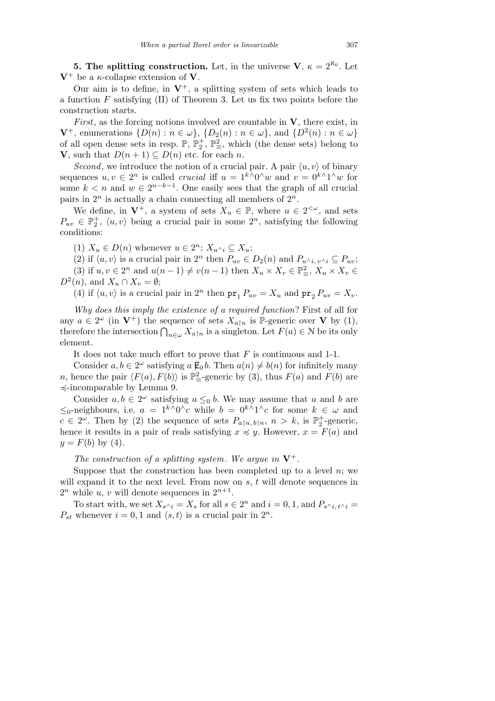**5. The splitting construction.** Let, in the universe  $V, \kappa = 2^{\aleph_0}$ . Let  $V^+$  be a *κ*-collapse extension of **V**.

Our aim is to define, in  $V^+$ , a splitting system of sets which leads to a function *F* satisfying (II) of Theorem 3. Let us fix two points before the construction starts.

*First*, as the forcing notions involved are countable in **V***,* there exist, in  $\mathbf{V}^+$ , enumerations  $\{D(n): n \in \omega\}$ ,  $\{D_2(n): n \in \omega\}$ , and  $\{D^2(n): n \in \omega\}$ of all open dense sets in resp.  $\mathbb{P}, \mathbb{P}_2^+$ ,  $\mathbb{P}_3^2$ , which (the dense sets) belong to **V***,* such that *D*( $n + 1$ ) ⊆ *D*( $n$ ) etc. for each  $n$ .

*Second*, we introduce the notion of a crucial pair. A pair  $\langle u, v \rangle$  of binary sequences  $u, v \in 2^n$  is called *crucial* iff  $u = 1^{k} \wedge 0 \wedge w$  and  $v = 0^{k} \wedge 1 \wedge w$  for some  $k < n$  and  $w \in 2^{n-k-1}$ . One easily sees that the graph of all crucial pairs in 2*<sup>n</sup>* is actually a chain connecting all members of 2*<sup>n</sup>.*

We define, in  $V^+$ , a system of sets  $X_u \in \mathbb{P}$ , where  $u \in 2^{<\omega}$ , and sets  $P_{uv} \in \mathbb{P}_2^+$ ,  $\langle u, v \rangle$  being a crucial pair in some  $2^n$ , satisfying the following conditions:

(1)  $X_u \in D(n)$  whenever  $u \in 2^n$ ;  $X_{u \cdot i} \subseteq X_u$ ;

(2) if  $\langle u, v \rangle$  is a crucial pair in  $2^n$  then  $P_{uv} \in D_2(n)$  and  $P_{u \wedge i, v \wedge i} \subseteq P_{uv};$ (3) if  $u, v \in 2^n$  and  $u(n-1) \neq v(n-1)$  then  $X_u \times X_v \in \mathbb{P}^2_{\equiv}$ ,  $X_u \times X_v \in$  $D^2(n)$ , and  $X_u \cap X_v = \emptyset$ ;

(4) if  $\langle u, v \rangle$  is a crucial pair in  $2^n$  then  $pr_1 P_{uv} = X_u$  and  $pr_2 P_{uv} = X_v$ .

*Why does this imply the existence of a required function*? First of all for any  $a \in 2^{\omega}$  (in  $V^+$ ) the sequence of sets  $X_{a\upharpoonright n}$  is P-generic over V by (1), therefore the intersection  $\bigcap_{n\in\omega} X_{a\upharpoonright n}$  is a singleton. Let  $F(a) \in \mathbb{N}$  be its only element.

It does not take much effort to prove that *F* is continuous and 1-1.

Consider  $a, b \in 2^{\omega}$  satisfying  $a \not\in b$ . Then  $a(n) \neq b(n)$  for infinitely many *n*, hence the pair  $\langle F(a), F(b) \rangle$  is  $\mathbb{P}^2_{\equiv}$ -generic by (3), thus  $F(a)$  and  $F(b)$  are  $\preccurlyeq$ -incomparable by Lemma 9.

Consider  $a, b \in 2^{\omega}$  satisfying  $a \leq_0 b$ . We may assume that  $a$  and  $b$  are  $\leq$ <sub>0</sub>-neighbours, i.e.  $a = 1^{k \wedge 0}$ <sup>*∧*</sup>*c* while  $b = 0^{k \wedge 1}$ <sup>*∧*</sup>*c* for some  $k \in \omega$  and  $c \in 2^{\omega}$ . Then by (2) the sequence of sets  $P_{a|n, b|n}$ ,  $n > k$ , is  $\mathbb{P}_2^+$ -generic, hence it results in a pair of reals satisfying  $x \preccurlyeq y$ . However,  $x = F(a)$  and  $y = F(b)$  by (4).

*The construction of a splitting system. We argue in*  $V^+$ .

Suppose that the construction has been completed up to a level  $n$ ; we will expand it to the next level. From now on *s, t* will denote sequences in  $2^n$  while *u*, *v* will denote sequences in  $2^{n+1}$ .

To start with, we set  $X_{s \wedge i} = X_s$  for all  $s \in 2^n$  and  $i = 0, 1$ , and  $P_{s \wedge i, t \wedge i} =$  $P_{st}$  whenever  $i = 0, 1$  and  $\langle s, t \rangle$  is a crucial pair in  $2^n$ .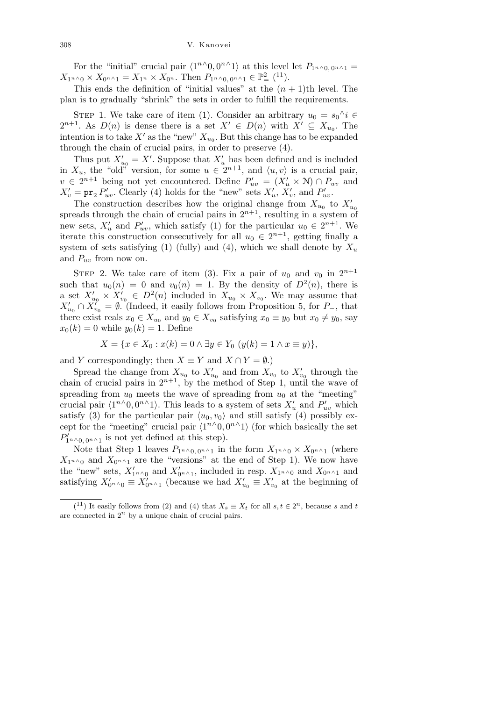For the "initial" crucial pair  $\langle 1^{n} \wedge 0, 0^{n} \wedge 1 \rangle$  at this level let  $P_{1^{n} \wedge 0, 0^{n} \wedge 1}$  =  $X_{1} \cdot \cdot \cdot \cdot \cdot X_{0} \cdot \cdot \cdot \cdot X_{1} = X_{1} \cdot \cdot \cdot X_{0} \cdot \cdot \cdot X_{0} \cdot \cdot \cdot X_{0} \cdot \cdot \cdot X_{1} \cdot \cdot \cdot X_{0} \cdot \cdot \cdot X_{0} \cdot \cdot \cdot X_{0} \cdot \cdot \cdot X_{0} \cdot \cdot \cdot X_{0} \cdot \cdot \cdot X_{0} \cdot \cdot \cdot X_{0} \cdot \cdot \cdot X_{0} \cdot \cdot \cdot X_{0} \cdot \cdot \cdot X_{0} \cdot \cdot \cdot X_{0} \cdot \cdot \cdot X_{0} \cdot \cdot \cdot X_{0} \cdot \cdot \cdot X_{0} \cdot \cdot \$ 

This ends the definition of "initial values" at the  $(n + 1)$ <sup>th</sup> level. The plan is to gradually "shrink" the sets in order to fulfill the requirements.

STEP 1. We take care of item (1). Consider an arbitrary  $u_0 = s_0^{\wedge} i \in$  $2^{n+1}$ . As  $D(n)$  is dense there is a set  $X' \in D(n)$  with  $X' \subseteq X_{u_0}$ . The intention is to take  $X'$  as the "new"  $X_{u_0}$ . But this change has to be expanded through the chain of crucial pairs, in order to preserve (4).

Thus put  $X'_{u_0} = X'$ . Suppose that  $X'_u$  has been defined and is included in  $X_u$ , the "old" version, for some  $u \in 2^{n+1}$ , and  $\langle u, v \rangle$  is a crucial pair,  $v \in 2^{n+1}$  being not yet encountered. Define  $P'_{uv} = (X'_u \times \mathcal{N}) \cap P_{uv}$  and  $X'_{v} = \text{pr}_{2} P'_{uv}$ . Clearly (4) holds for the "new" sets  $X'_{u}$ ,  $X'_{v}$ , and  $P'_{uv}$ .

The construction describes how the original change from  $X_{u_0}$  to  $X'_{u_0}$ spreads through the chain of crucial pairs in  $2^{n+1}$ , resulting in a system of new sets,  $X'_u$  and  $P'_{uv}$ , which satisfy (1) for the particular  $u_0 \in 2^{n+1}$ . We iterate this construction consecutively for all  $u_0 \in 2^{n+1}$ , getting finally a system of sets satisfying (1) (fully) and (4), which we shall denote by  $X_u$ and *Puv* from now on.

STEP 2. We take care of item (3). Fix a pair of  $u_0$  and  $v_0$  in  $2^{n+1}$ such that  $u_0(n) = 0$  and  $v_0(n) = 1$ . By the density of  $D^2(n)$ , there is a set  $X'_{u_0} \times X'_{v_0} \in D^2(n)$  included in  $X_{u_0} \times X_{v_0}$ . We may assume that  $X'_{u_0} \cap X'_{v_0} = \emptyset$ . (Indeed, it easily follows from Proposition 5, for *P*<sub>−</sub>*,* that there exist reals  $x_0 \in X_{u_0}$  and  $y_0 \in X_{v_0}$  satisfying  $x_0 \equiv y_0$  but  $x_0 \neq y_0$ , say  $x_0(k) = 0$  while  $y_0(k) = 1$ . Define

$$
X = \{ x \in X_0 : x(k) = 0 \land \exists y \in Y_0 \ (y(k) = 1 \land x \equiv y) \},
$$

and *Y* correspondingly; then  $X \equiv Y$  and  $X \cap Y = \emptyset$ .)

Spread the change from  $X_{u_0}$  to  $X'_{u_0}$  and from  $X_{v_0}$  to  $X'_{v_0}$  through the chain of crucial pairs in  $2^{n+1}$ , by the method of Step 1, until the wave of spreading from  $u_0$  meets the wave of spreading from  $u_0$  at the "meeting" crucial pair  $\langle 1^{n} \wedge 0, 0^{n} \wedge 1 \rangle$ . This leads to a system of sets  $X'_u$  and  $P'_{uv}$  which satisfy (3) for the particular pair  $\langle u_0, v_0 \rangle$  and still satisfy (4) possibly except for the "meeting" crucial pair  $\langle 1^{n} \wedge 0, 0^{n} \wedge 1 \rangle$  (for which basically the set  $P'_{1^n \wedge 0, 0^n \wedge 1}$  is not yet defined at this step).

Note that Step 1 leaves  $P_{1^n \wedge 0, 0^n \wedge 1}$  in the form  $X_{1^n \wedge 0} \times X_{0^n \wedge 1}$  (where  $X_{1^n}$ <sup>0</sup> and  $X_{0^{n}$ <sup> $\wedge$ </sup>1 are the "versions" at the end of Step 1). We now have the "new" sets,  $X'_{1^n \wedge 0}$  and  $X'_{0^n \wedge 1}$ , included in resp.  $X_{1^n \wedge 0}$  and  $X_{0^n \wedge 1}$  and satisfying  $X'_{0^{n} \wedge 0} \equiv X'_{0^{n} \wedge 1}$  (because we had  $X'_{u_0} \equiv X'_{v_0}$  at the beginning of

 $(1)$  It easily follows from (2) and (4) that  $X_s \equiv X_t$  for all  $s, t \in 2^n$ , because *s* and *t* are connected in  $2^n$  by a unique chain of crucial pairs.